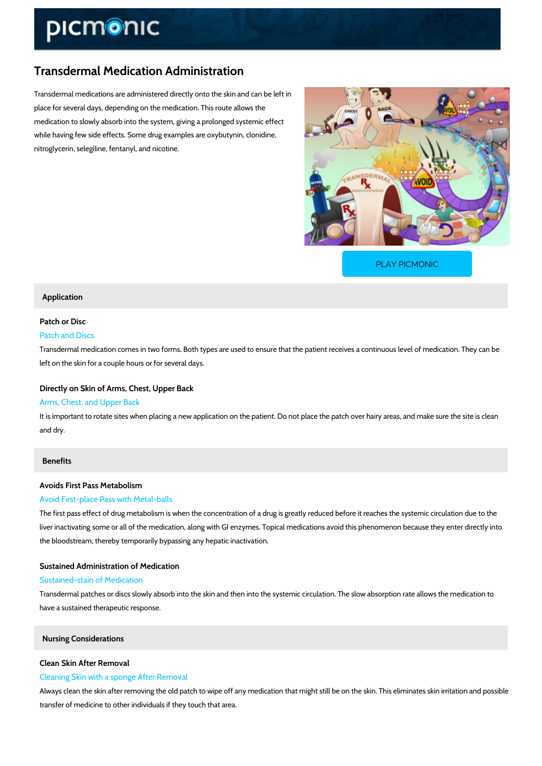# Transdermal Medication Administration

Transdermal medications are administered directly onto the skin and can be left in place for several days, depending on the medication. This route allows the medication to slowly absorb into the system, giving a prolonged systemic effect while having few side effects. Some drug examples are oxybutynin, clonidine, nitroglycerin, selegiline, fentanyl, and nicotine.

[PLAY PICMONIC](https://www.picmonic.com/learn/transdermal-medication-administration_1536?utm_source=downloadable_content&utm_medium=distributedcontent&utm_campaign=pathways_pdf&utm_content=Transdermal Medication Administration&utm_ad_group=leads&utm_market=all)

#### Application

# Patch or Disc

# Patch and Discs

Transdermal medication comes in two forms. Both types are used to ensure that the patient re left on the skin for a couple hours or for several days.

#### Directly on Skin of Arms, Chest, Upper Back

#### Arms, Chest, and Upper Back

It is important to rotate sites when placing a new application on the patient. Do not place the and dry.

### Benefits

### Avoids First Pass Metabolism

#### Avoid First-place Pass with Metal-balls

The first pass effect of drug metabolism is when the concentration of a drug is greatly reduce liver inactivating some or all of the medication, along with GI enzymes. Topical medications a the bloodstream, thereby temporarily bypassing any hepatic inactivation.

#### Sustained Administration of Medication

#### Sustained-stain of Medication

Transdermal patches or discs slowly absorb into the skin and then into the systemic circulation have a sustained therapeutic response.

#### Nursing Considerations

#### Clean Skin After Removal

#### Cleaning Skin with a sponge After Removal

Always clean the skin after removing the old patch to wipe off any medication that might still transfer of medicine to other individuals if they touch that area.